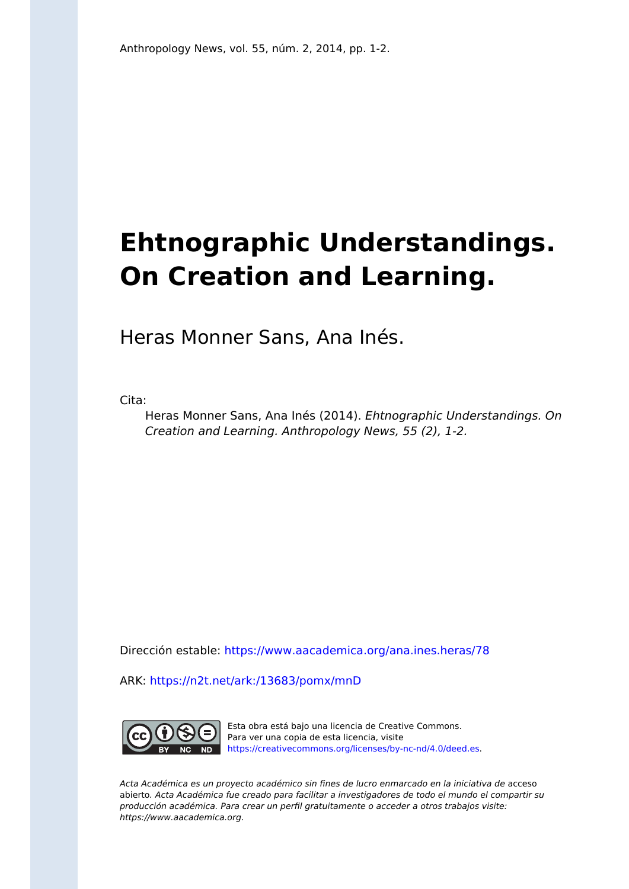# **Ehtnographic Understandings. On Creation and Learning.**

Heras Monner Sans, Ana Inés.

Cita:

Heras Monner Sans, Ana Inés (2014). Ehtnographic Understandings. On Creation and Learning. Anthropology News, 55 (2), 1-2.

Dirección estable:<https://www.aacademica.org/ana.ines.heras/78>

ARK: <https://n2t.net/ark:/13683/pomx/mnD>



Esta obra está bajo una licencia de Creative Commons. Para ver una copia de esta licencia, visite [https://creativecommons.org/licenses/by-nc-nd/4.0/deed.es.](https://creativecommons.org/licenses/by-nc-nd/4.0/deed.es)

Acta Académica es un proyecto académico sin fines de lucro enmarcado en la iniciativa de acceso abierto. Acta Académica fue creado para facilitar a investigadores de todo el mundo el compartir su producción académica. Para crear un perfil gratuitamente o acceder a otros trabajos visite: https://www.aacademica.org.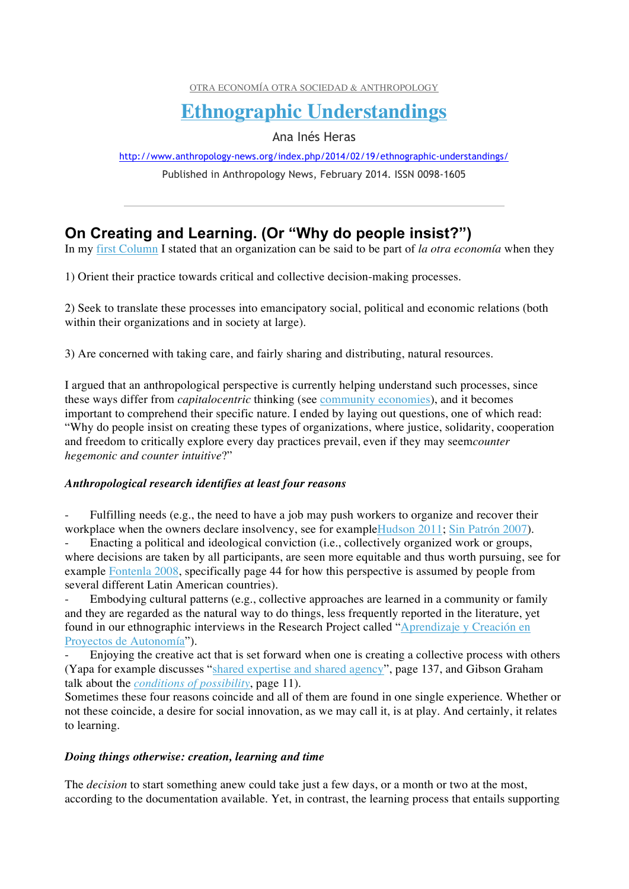OTRA ECONOMÍA OTRA SOCIEDAD & ANTHROPOLOGY

## **Ethnographic Understandings**

Ana Inés Heras

http://www.anthropology-news.org/index.php/2014/02/19/ethnographic-understandings/

Published in Anthropology News, February 2014. ISSN 0098-1605

### **On Creating and Learning. (Or "Why do people insist?")**

In my first Column I stated that an organization can be said to be part of *la otra economía* when they

1) Orient their practice towards critical and collective decision-making processes.

2) Seek to translate these processes into emancipatory social, political and economic relations (both within their organizations and in society at large).

3) Are concerned with taking care, and fairly sharing and distributing, natural resources.

I argued that an anthropological perspective is currently helping understand such processes, since these ways differ from *capitalocentric* thinking (see community economies), and it becomes important to comprehend their specific nature. I ended by laying out questions, one of which read: "Why do people insist on creating these types of organizations, where justice, solidarity, cooperation and freedom to critically explore every day practices prevail, even if they may seem*counter hegemonic and counter intuitive*?"

#### *Anthropological research identifies at least four reasons*

Fulfilling needs (e.g., the need to have a job may push workers to organize and recover their workplace when the owners declare insolvency, see for exampleHudson 2011; Sin Patrón 2007).

Enacting a political and ideological conviction (i.e., collectively organized work or groups, where decisions are taken by all participants, are seen more equitable and thus worth pursuing, see for example Fontenla 2008, specifically page 44 for how this perspective is assumed by people from several different Latin American countries).

Embodying cultural patterns (e.g., collective approaches are learned in a community or family and they are regarded as the natural way to do things, less frequently reported in the literature, yet found in our ethnographic interviews in the Research Project called "Aprendizaje y Creación en Proyectos de Autonomía").

Enjoying the creative act that is set forward when one is creating a collective process with others (Yapa for example discusses "shared expertise and shared agency", page 137, and Gibson Graham talk about the *conditions of possibility*, page 11).

Sometimes these four reasons coincide and all of them are found in one single experience. Whether or not these coincide, a desire for social innovation, as we may call it, is at play. And certainly, it relates to learning.

#### *Doing things otherwise: creation, learning and time*

The *decision* to start something anew could take just a few days, or a month or two at the most, according to the documentation available. Yet, in contrast, the learning process that entails supporting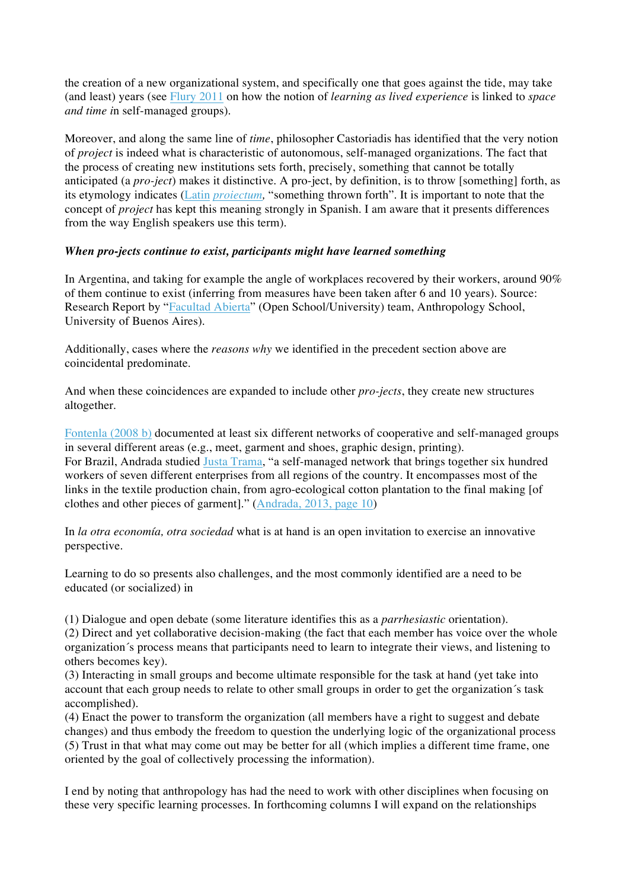the creation of a new organizational system, and specifically one that goes against the tide, may take (and least) years (see Flury 2011 on how the notion of *learning as lived experience* is linked to *space and time i*n self-managed groups).

Moreover, and along the same line of *time*, philosopher Castoriadis has identified that the very notion of *project* is indeed what is characteristic of autonomous, self-managed organizations. The fact that the process of creating new institutions sets forth, precisely, something that cannot be totally anticipated (a *pro-ject*) makes it distinctive. A pro-ject, by definition, is to throw [something] forth, as its etymology indicates (Latin *proiectum,* "something thrown forth". It is important to note that the concept of *project* has kept this meaning strongly in Spanish. I am aware that it presents differences from the way English speakers use this term).

#### *When pro-jects continue to exist, participants might have learned something*

In Argentina, and taking for example the angle of workplaces recovered by their workers, around 90% of them continue to exist (inferring from measures have been taken after 6 and 10 years). Source: Research Report by "Facultad Abierta" (Open School/University) team, Anthropology School, University of Buenos Aires).

Additionally, cases where the *reasons why* we identified in the precedent section above are coincidental predominate.

And when these coincidences are expanded to include other *pro-jects*, they create new structures altogether.

Fontenla (2008 b) documented at least six different networks of cooperative and self-managed groups in several different areas (e.g., meet, garment and shoes, graphic design, printing). For Brazil, Andrada studied Justa Trama, "a self-managed network that brings together six hundred workers of seven different enterprises from all regions of the country. It encompasses most of the links in the textile production chain, from agro-ecological cotton plantation to the final making [of clothes and other pieces of garment]." (Andrada, 2013, page 10)

In *la otra economía, otra sociedad* what is at hand is an open invitation to exercise an innovative perspective.

Learning to do so presents also challenges, and the most commonly identified are a need to be educated (or socialized) in

(1) Dialogue and open debate (some literature identifies this as a *parrhesiastic* orientation).

(2) Direct and yet collaborative decision-making (the fact that each member has voice over the whole organization´s process means that participants need to learn to integrate their views, and listening to others becomes key).

(3) Interacting in small groups and become ultimate responsible for the task at hand (yet take into account that each group needs to relate to other small groups in order to get the organization´s task accomplished).

(4) Enact the power to transform the organization (all members have a right to suggest and debate changes) and thus embody the freedom to question the underlying logic of the organizational process (5) Trust in that what may come out may be better for all (which implies a different time frame, one oriented by the goal of collectively processing the information).

I end by noting that anthropology has had the need to work with other disciplines when focusing on these very specific learning processes. In forthcoming columns I will expand on the relationships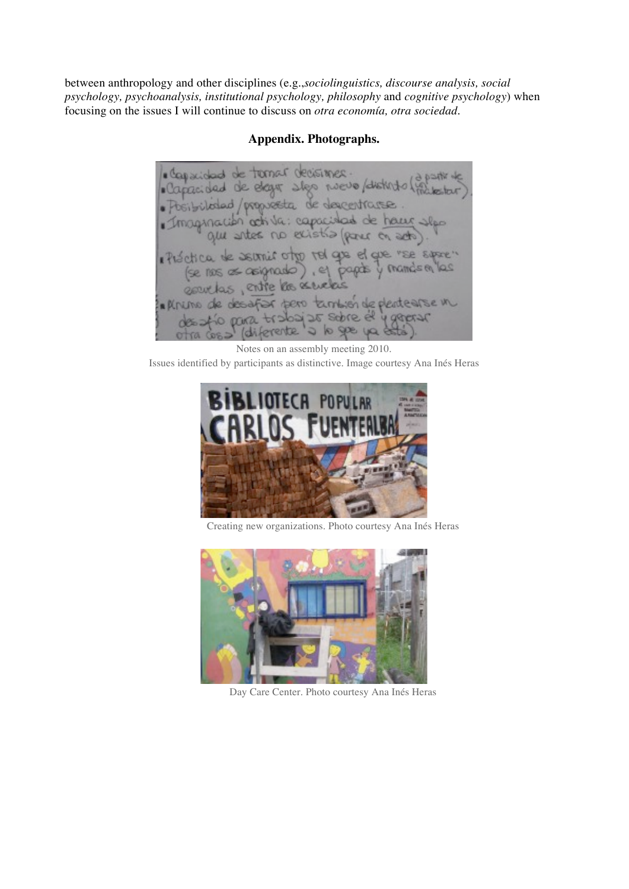between anthropology and other disciplines (e.g.,*sociolinguistics, discourse analysis, social psychology, psychoanalysis, institutional psychology, philosophy* and *cognitive psychology*) when focusing on the issues I will continue to discuss on *otra economía, otra sociedad*.

#### **Appendix. Photographs.**

de ternar decisiones nuevo / distri · Capacidad de elegi boibiloded/propreeta de descentrar Imaginación activa: capacidad de haur slop gu antes no existia (parc on acto) Préctica de servir otro rel que el que "se space" (se nos as asignado), el papas y mandem 2Q genetas, entre las senetas In RINUTIO de desaf pero también de plente arse in 2125 Schreek FL3 to para diferente  $Q \nvert q \nvert Q$ 

Notes on an assembly meeting 2010. Issues identified by participants as distinctive. Image courtesy Ana Inés Heras



Creating new organizations. Photo courtesy Ana Inés Heras



Day Care Center. Photo courtesy Ana Inés Heras